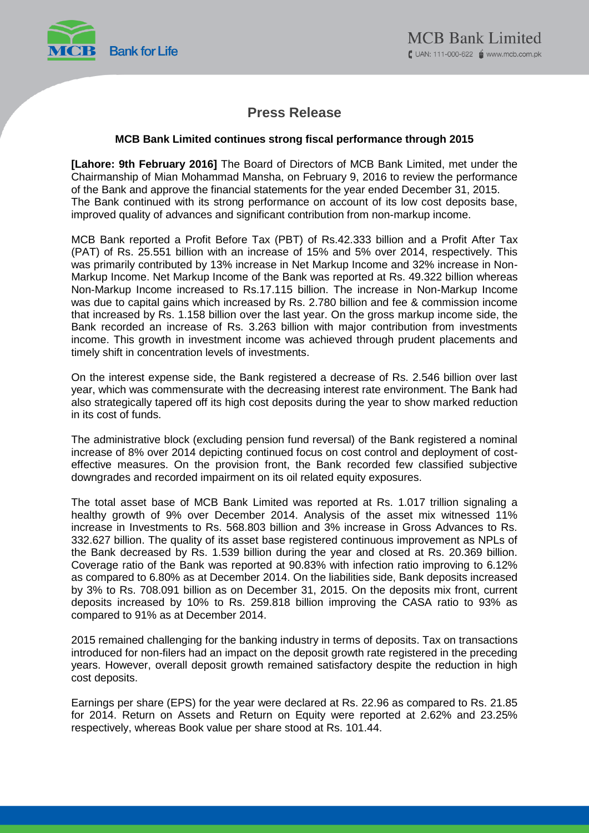

# **Press Release**

### **MCB Bank Limited continues strong fiscal performance through 2015**

**[Lahore: 9th February 2016]** The Board of Directors of MCB Bank Limited, met under the Chairmanship of Mian Mohammad Mansha, on February 9, 2016 to review the performance of the Bank and approve the financial statements for the year ended December 31, 2015. The Bank continued with its strong performance on account of its low cost deposits base, improved quality of advances and significant contribution from non-markup income.

MCB Bank reported a Profit Before Tax (PBT) of Rs.42.333 billion and a Profit After Tax (PAT) of Rs. 25.551 billion with an increase of 15% and 5% over 2014, respectively. This was primarily contributed by 13% increase in Net Markup Income and 32% increase in Non-Markup Income. Net Markup Income of the Bank was reported at Rs. 49.322 billion whereas Non-Markup Income increased to Rs.17.115 billion. The increase in Non-Markup Income was due to capital gains which increased by Rs. 2.780 billion and fee & commission income that increased by Rs. 1.158 billion over the last year. On the gross markup income side, the Bank recorded an increase of Rs. 3.263 billion with major contribution from investments income. This growth in investment income was achieved through prudent placements and timely shift in concentration levels of investments.

On the interest expense side, the Bank registered a decrease of Rs. 2.546 billion over last year, which was commensurate with the decreasing interest rate environment. The Bank had also strategically tapered off its high cost deposits during the year to show marked reduction in its cost of funds.

The administrative block (excluding pension fund reversal) of the Bank registered a nominal increase of 8% over 2014 depicting continued focus on cost control and deployment of costeffective measures. On the provision front, the Bank recorded few classified subjective downgrades and recorded impairment on its oil related equity exposures.

The total asset base of MCB Bank Limited was reported at Rs. 1.017 trillion signaling a healthy growth of 9% over December 2014. Analysis of the asset mix witnessed 11% increase in Investments to Rs. 568.803 billion and 3% increase in Gross Advances to Rs. 332.627 billion. The quality of its asset base registered continuous improvement as NPLs of the Bank decreased by Rs. 1.539 billion during the year and closed at Rs. 20.369 billion. Coverage ratio of the Bank was reported at 90.83% with infection ratio improving to 6.12% as compared to 6.80% as at December 2014. On the liabilities side, Bank deposits increased by 3% to Rs. 708.091 billion as on December 31, 2015. On the deposits mix front, current deposits increased by 10% to Rs. 259.818 billion improving the CASA ratio to 93% as compared to 91% as at December 2014.

2015 remained challenging for the banking industry in terms of deposits. Tax on transactions introduced for non-filers had an impact on the deposit growth rate registered in the preceding years. However, overall deposit growth remained satisfactory despite the reduction in high cost deposits.

Earnings per share (EPS) for the year were declared at Rs. 22.96 as compared to Rs. 21.85 for 2014. Return on Assets and Return on Equity were reported at 2.62% and 23.25% respectively, whereas Book value per share stood at Rs. 101.44.